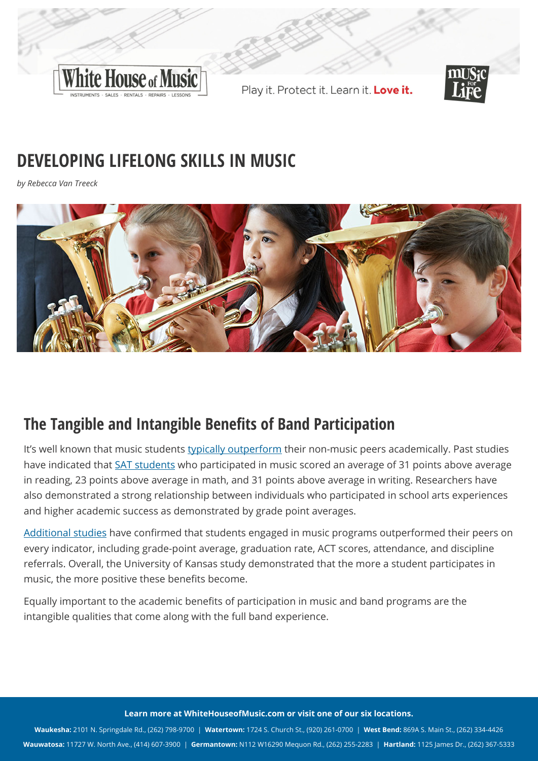

Play it. Protect it. Learn it. Love it.



# **DEVELOPING LIFELONG SKILLS IN MUSIC**

*by Rebecca Van Treeck*



## **The Tangible and Intangible Benefits of Band Participation**

It's well known that music students [typically outperform](http://blogs.discovermagazine.com/d-brief/2019/06/24/music-classes-academic-achievement/#.Xajsb5NKjUo) their non-music peers academically. Past studies have indicated that [SAT students](https://nafme.org/advocacy/what-to-know/music-education-and-academic-achievement/) who participated in music scored an average of 31 points above average in reading, 23 points above average in math, and 31 points above average in writing. Researchers have also demonstrated a strong relationship between individuals who participated in school arts experiences and higher academic success as demonstrated by grade point averages.

[Additional studies](https://news.ku.edu/2014/01/14/ku-research-establishes-link-between-music-education-and-academic-achievement) have confirmed that students engaged in music programs outperformed their peers on every indicator, including grade-point average, graduation rate, ACT scores, attendance, and discipline referrals. Overall, the University of Kansas study demonstrated that the more a student participates in music, the more positive these benefits become.

Equally important to the academic benefits of participation in music and band programs are the intangible qualities that come along with the full band experience.

#### **Learn more at [WhiteHouseofMusic.com](https://whitehouseofmusic.com) or visit one of our six locations.**

**Waukesha:** 2101 N. Springdale Rd., (262) 798-9700 | **Watertown:** 1724 S. Church St., (920) 261-0700 | **West Bend:** 869A S. Main St., (262) 334-4426 **Wauwatosa:** 11727 W. North Ave., (414) 607-3900 | **Germantown:** N112 W16290 Mequon Rd., (262) 255-2283 | **Hartland:** 1125 James Dr., (262) 367-5333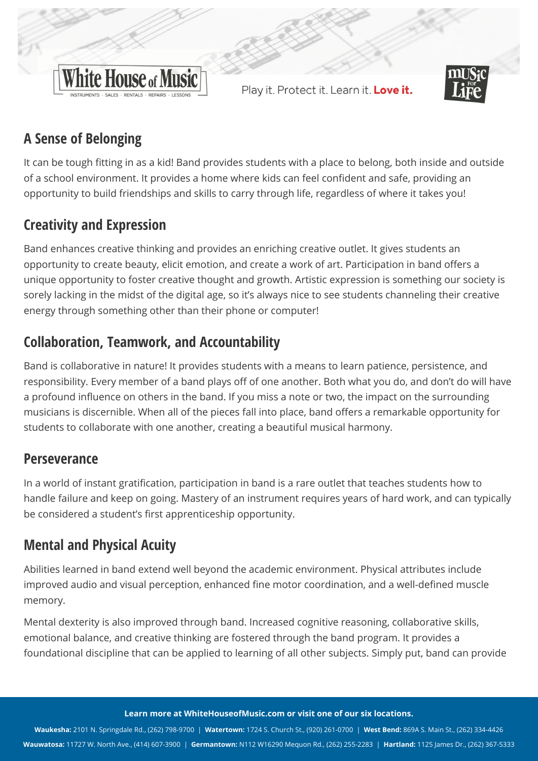

Play it. Protect it. Learn it. Love it.



## **A Sense of Belonging**

It can be tough fitting in as a kid! Band provides students with a place to belong, both inside and outside of a school environment. It provides a home where kids can feel confident and safe, providing an opportunity to build friendships and skills to carry through life, regardless of where it takes you!

## **Creativity and Expression**

Band enhances creative thinking and provides an enriching creative outlet. It gives students an opportunity to create beauty, elicit emotion, and create a work of art. Participation in band offers a unique opportunity to foster creative thought and growth. Artistic expression is something our society is sorely lacking in the midst of the digital age, so it's always nice to see students channeling their creative energy through something other than their phone or computer!

#### **Collaboration, Teamwork, and Accountability**

Band is collaborative in nature! It provides students with a means to learn patience, persistence, and responsibility. Every member of a band plays off of one another. Both what you do, and don't do will have a profound influence on others in the band. If you miss a note or two, the impact on the surrounding musicians is discernible. When all of the pieces fall into place, band offers a remarkable opportunity for students to collaborate with one another, creating a beautiful musical harmony.

#### **Perseverance**

In a world of instant gratification, participation in band is a rare outlet that teaches students how to handle failure and keep on going. Mastery of an instrument requires years of hard work, and can typically be considered a student's first apprenticeship opportunity.

#### **Mental and Physical Acuity**

Abilities learned in band extend well beyond the academic environment. Physical attributes include improved audio and visual perception, enhanced fine motor coordination, and a well-defined muscle memory.

Mental dexterity is also improved through band. Increased cognitive reasoning, collaborative skills, emotional balance, and creative thinking are fostered through the band program. It provides a foundational discipline that can be applied to learning of all other subjects. Simply put, band can provide

**Learn more at [WhiteHouseofMusic.com](https://whitehouseofmusic.com) or visit one of our six locations.**

**Waukesha:** 2101 N. Springdale Rd., (262) 798-9700 | **Watertown:** 1724 S. Church St., (920) 261-0700 | **West Bend:** 869A S. Main St., (262) 334-4426 **Wauwatosa:** 11727 W. North Ave., (414) 607-3900 | **Germantown:** N112 W16290 Mequon Rd., (262) 255-2283 | **Hartland:** 1125 James Dr., (262) 367-5333